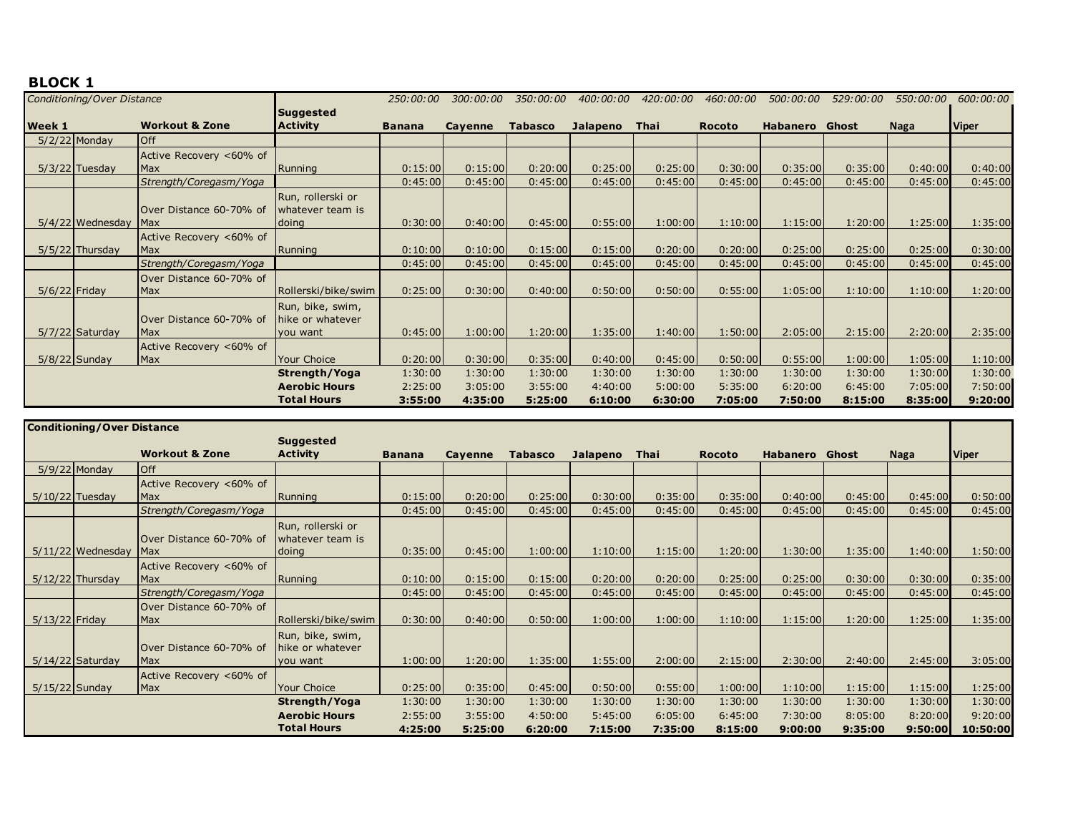|                 | Conditioning/Over Distance |                                        |                                                  | 250:00:00     | 300:00:00 | 350:00:00      | 400:00:00 | 420:00:00   | 460:00:00     | 500:00:00 | 529:00:00 | 550:00:00   | 600:00:00    |
|-----------------|----------------------------|----------------------------------------|--------------------------------------------------|---------------|-----------|----------------|-----------|-------------|---------------|-----------|-----------|-------------|--------------|
| <b>Week 1</b>   |                            | <b>Workout &amp; Zone</b>              | <b>Suggested</b><br><b>Activity</b>              | <b>Banana</b> | Cayenne   | <b>Tabasco</b> | Jalapeno  | <b>Thai</b> | <b>Rocoto</b> | Habanero  | Ghost     | <b>Naga</b> | <b>Viper</b> |
|                 | $5/2/22$ Monday            | <b>Off</b>                             |                                                  |               |           |                |           |             |               |           |           |             |              |
|                 |                            | Active Recovery <60% of                |                                                  |               |           |                |           |             |               |           |           |             |              |
|                 | $5/3/22$ Tuesday           | <b>IMax</b>                            | Running                                          | 0:15:00       | 0:15:00   | 0:20:00        | 0:25:00   | 0:25:00     | 0:30:00       | 0:35:00   | 0:35:00   | 0:40:00     | 0:40:00      |
|                 |                            | Strength/Coregasm/Yoga                 |                                                  | 0:45:00       | 0:45:00   | 0:45:00        | 0:45:00   | 0:45:00     | 0:45:00       | 0:45:00   | 0:45:00   | 0:45:00     | 0:45:00      |
|                 | $5/4/22$ Wednesday         | Over Distance 60-70% of<br><b>IMax</b> | Run, rollerski or<br>whatever team is<br>doing   | 0:30:00       | 0:40:00   | 0:45:00        | 0:55:00   | 1:00:00     | 1:10:00       | 1:15:00   | 1:20:00   | 1:25:00     | 1:35:00      |
|                 |                            | Active Recovery <60% of                |                                                  |               |           |                |           |             |               |           |           |             |              |
|                 | $5/5/22$ Thursday          | <b>Max</b>                             | Running                                          | 0:10:00       | 0:10:00   | 0:15:00        | 0:15:00   | 0:20:00     | 0:20:00       | 0:25:00   | 0:25:00   | 0:25:00     | 0:30:00      |
|                 |                            | Strength/Coregasm/Yoga                 |                                                  | 0:45:00       | 0:45:00   | 0:45:00        | 0:45:00   | 0:45:00     | 0:45:00       | 0:45:00   | 0:45:00   | 0:45:00     | 0:45:00      |
| $5/6/22$ Friday |                            | Over Distance 60-70% of<br>Max         | Rollerski/bike/swim                              | 0:25:00       | 0:30:00   | 0:40:00        | 0:50:00   | 0:50:00     | 0:55:00       | 1:05:00   | 1:10:00   | 1:10:00     | 1:20:00      |
|                 | $5/7/22$ Saturday          | Over Distance 60-70% of<br>Max         | Run, bike, swim,<br>hike or whatever<br>you want | 0:45:00       | 1:00:00   | 1:20:00        | 1:35:00   | 1:40:00     | 1:50:00       | 2:05:00   | 2:15:00   | 2:20:00     | 2:35:00      |
|                 | $5/8/22$ Sunday            | Active Recovery <60% of<br>Max         | Your Choice                                      | 0:20:00       | 0:30:00   | 0:35:00        | 0:40:00   | 0:45:00     | 0:50:00       | 0:55:00   | 1:00:00   | 1:05:00     | 1:10:00      |
|                 |                            |                                        | Strength/Yoga                                    | 1:30:00       | 1:30:00   | 1:30:00        | 1:30:00   | 1:30:00     | 1:30:00       | 1:30:00   | 1:30:00   | 1:30:00     | 1:30:00      |
|                 |                            |                                        | <b>Aerobic Hours</b>                             | 2:25:00       | 3:05:00   | 3:55:00        | 4:40:00   | 5:00:00     | 5:35:00       | 6:20:00   | 6:45:00   | 7:05:00     | 7:50:00      |
|                 |                            |                                        | <b>Total Hours</b>                               | 3:55:00       | 4:35:00   | 5:25:00        | 6:10:00   | 6:30:00     | 7:05:00       | 7:50:00   | 8:15:00   | 8:35:00     | 9:20:00      |

|                  | <b>Conditioning/Over Distance</b> |                           |                      |               |         |                |          |         |               |                       |         |         |              |
|------------------|-----------------------------------|---------------------------|----------------------|---------------|---------|----------------|----------|---------|---------------|-----------------------|---------|---------|--------------|
|                  |                                   |                           | <b>Suggested</b>     |               |         |                |          |         |               |                       |         |         |              |
|                  |                                   | <b>Workout &amp; Zone</b> | <b>Activity</b>      | <b>Banana</b> | Cayenne | <b>Tabasco</b> | Jalapeno | Thai    | <b>Rocoto</b> | <b>Habanero</b> Ghost |         | Naga    | <b>Viper</b> |
|                  | $5/9/22$ Monday                   | <b>Off</b>                |                      |               |         |                |          |         |               |                       |         |         |              |
|                  |                                   | Active Recovery <60% of   |                      |               |         |                |          |         |               |                       |         |         |              |
|                  | $5/10/22$ Tuesday                 | <b>Max</b>                | Running              | 0:15:00       | 0:20:00 | 0:25:00        | 0:30:00  | 0:35:00 | 0:35:00       | 0:40:00               | 0:45:00 | 0:45:00 | 0:50:00      |
|                  |                                   | Strength/Coregasm/Yoga    |                      | 0:45:00       | 0:45:00 | 0:45:00        | 0:45:00  | 0:45:00 | 0:45:00       | 0:45:00               | 0:45:00 | 0:45:00 | 0:45:00      |
|                  |                                   |                           | Run, rollerski or    |               |         |                |          |         |               |                       |         |         |              |
|                  |                                   | Over Distance 60-70% of   | whatever team is     |               |         |                |          |         |               |                       |         |         |              |
|                  | $5/11/22$ Wednesday               | <b>Max</b>                | doing                | 0:35:00       | 0:45:00 | 1:00:00        | 1:10:00  | 1:15:00 | 1:20:00       | 1:30:00               | 1:35:00 | 1:40:00 | 1:50:00      |
|                  |                                   | Active Recovery <60% of   |                      |               |         |                |          |         |               |                       |         |         |              |
|                  | $5/12/22$ Thursday                | Max                       | Running              | 0:10:00       | 0:15:00 | 0:15:00        | 0:20:00  | 0:20:00 | 0:25:00       | 0:25:00               | 0:30:00 | 0:30:00 | 0:35:00      |
|                  |                                   | Strength/Coregasm/Yoga    |                      | 0:45:00       | 0:45:00 | 0:45:00        | 0:45:00  | 0:45:00 | 0:45:00       | 0:45:00               | 0:45:00 | 0:45:00 | 0:45:00      |
|                  |                                   | Over Distance 60-70% of   |                      |               |         |                |          |         |               |                       |         |         |              |
| $5/13/22$ Friday |                                   | Max                       | Rollerski/bike/swim  | 0:30:00       | 0:40:00 | 0:50:00        | 1:00:00  | 1:00:00 | 1:10:00       | 1:15:00               | 1:20:00 | 1:25:00 | 1:35:00      |
|                  |                                   |                           | Run, bike, swim,     |               |         |                |          |         |               |                       |         |         |              |
|                  |                                   | Over Distance 60-70% of   | hike or whatever     |               |         |                |          |         |               |                       |         |         |              |
|                  | $5/14/22$ Saturday                | <b>Max</b>                | you want             | 1:00:00       | 1:20:00 | 1:35:00        | 1:55:00  | 2:00:00 | 2:15:00       | 2:30:00               | 2:40:00 | 2:45:00 | 3:05:00      |
|                  |                                   | Active Recovery <60% of   |                      |               |         |                |          |         |               |                       |         |         |              |
| $5/15/22$ Sunday |                                   | Max                       | <b>Your Choice</b>   | 0:25:00       | 0:35:00 | 0:45:00        | 0:50:00  | 0:55:00 | 1:00:00       | 1:10:00               | 1:15:00 | 1:15:00 | 1:25:00      |
|                  |                                   |                           | Strength/Yoga        | 1:30:00       | 1:30:00 | 1:30:00        | 1:30:00  | 1:30:00 | 1:30:00       | 1:30:00               | 1:30:00 | 1:30:00 | 1:30:00      |
|                  |                                   |                           | <b>Aerobic Hours</b> | 2:55:00       | 3:55:00 | 4:50:00        | 5:45:00  | 6:05:00 | 6:45:00       | 7:30:00               | 8:05:00 | 8:20:00 | 9:20:00      |
|                  |                                   |                           | <b>Total Hours</b>   | 4:25:00       | 5:25:00 | 6:20:00        | 7:15:00  | 7:35:00 | 8:15:00       | 9:00:00               | 9:35:00 | 9:50:00 | 10:50:00     |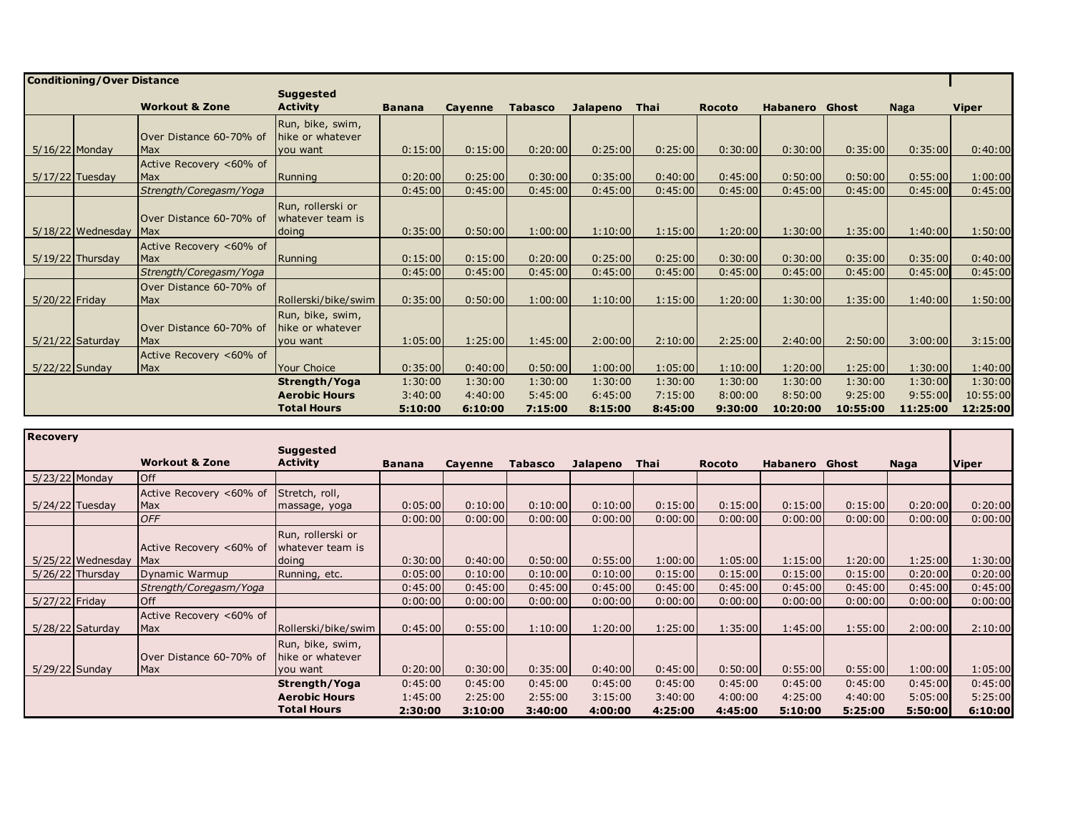|                  | <b>Conditioning/Over Distance</b> |                                        |                                                  |               |                |                |          |         |               |                       |          |          |          |
|------------------|-----------------------------------|----------------------------------------|--------------------------------------------------|---------------|----------------|----------------|----------|---------|---------------|-----------------------|----------|----------|----------|
|                  |                                   |                                        | <b>Suggested</b>                                 |               |                |                |          |         |               |                       |          |          |          |
|                  |                                   | <b>Workout &amp; Zone</b>              | <b>Activity</b>                                  | <b>Banana</b> | <b>Cavenne</b> | <b>Tabasco</b> | Jalapeno | Thai    | <b>Rocoto</b> | <b>Habanero</b> Ghost |          | Naga     | Viper    |
|                  |                                   | Over Distance 60-70% of                | Run, bike, swim,<br>Thike or whatever            |               |                |                |          |         |               |                       |          |          |          |
| $5/16/22$ Monday |                                   | <b>IMax</b>                            | you want                                         | 0:15:00       | 0:15:00        | 0:20:00        | 0:25:00  | 0:25:00 | 0:30:00       | 0:30:00               | 0:35:00  | 0:35:00  | 0:40:00  |
|                  | $5/17/22$ Tuesday                 | Active Recovery <60% of<br>Max         | Running                                          | 0:20:00       | 0:25:00        | 0:30:00        | 0:35:00  | 0:40:00 | 0:45:00       | 0:50:00               | 0:50:00  | 0:55:00  | 1:00:00  |
|                  |                                   | Strength/Coregasm/Yoga                 |                                                  | 0:45:00       | 0:45:00        | 0:45:00        | 0:45:00  | 0:45:00 | 0:45:00       | 0:45:00               | 0:45:00  | 0:45:00  | 0:45:00  |
|                  | $5/18/22$ Wednesday               | Over Distance 60-70% of<br><b>Max</b>  | Run, rollerski or<br>whatever team is<br>doing   | 0:35:00       | 0:50:00        | 1:00:00        | 1:10:00  | 1:15:00 | 1:20:00       | 1:30:00               | 1:35:00  | 1:40:00  | 1:50:00  |
|                  | $5/19/22$ Thursday                | Active Recovery <60% of<br><b>Max</b>  | Running                                          | 0:15:00       | 0:15:00        | 0:20:00        | 0:25:00  | 0:25:00 | 0:30:00       | 0:30:00               | 0:35:00  | 0:35:00  | 0:40:00  |
|                  |                                   | Strength/Coregasm/Yoga                 |                                                  | 0:45:00       | 0:45:00        | 0:45:00        | 0:45:00  | 0:45:00 | 0:45:00       | 0:45:00               | 0:45:00  | 0:45:00  | 0:45:00  |
| $5/20/22$ Friday |                                   | Over Distance 60-70% of<br><b>Max</b>  | Rollerski/bike/swim                              | 0:35:00       | 0:50:00        | 1:00:00        | 1:10:00  | 1:15:00 | 1:20:00       | 1:30:00               | 1:35:00  | 1:40:00  | 1:50:00  |
|                  | $5/21/22$ Saturday                | Over Distance 60-70% of<br><b>IMax</b> | Run, bike, swim,<br>hike or whatever<br>you want | 1:05:00       | 1:25:00        | 1:45:00        | 2:00:00  | 2:10:00 | 2:25:00       | 2:40:00               | 2:50:00  | 3:00:00  | 3:15:00  |
|                  |                                   | Active Recovery <60% of                |                                                  |               |                |                |          |         |               |                       |          |          |          |
| $5/22/22$ Sunday |                                   | <b>Max</b>                             | Your Choice                                      | 0:35:00       | 0:40:00        | 0:50:00        | 1:00:00  | 1:05:00 | 1:10:00       | 1:20:00               | 1:25:00  | 1:30:00  | 1:40:00  |
|                  |                                   |                                        | Strength/Yoga                                    | 1:30:00       | 1:30:00        | 1:30:00        | 1:30:00  | 1:30:00 | 1:30:00       | 1:30:00               | 1:30:00  | 1:30:00  | 1:30:00  |
|                  |                                   |                                        | <b>Aerobic Hours</b>                             | 3:40:00       | 4:40:00        | 5:45:00        | 6:45:00  | 7:15:00 | 8:00:00       | 8:50:00               | 9:25:00  | 9:55:00  | 10:55:00 |
|                  |                                   |                                        | <b>Total Hours</b>                               | 5:10:00       | 6:10:00        | 7:15:00        | 8:15:00  | 8:45:00 | 9:30:00       | 10:20:00              | 10:55:00 | 11:25:00 | 12:25:00 |

| <b>Recovery</b> |                     |                           |                      |               |         |                |          |         |               |                 |         |         |              |
|-----------------|---------------------|---------------------------|----------------------|---------------|---------|----------------|----------|---------|---------------|-----------------|---------|---------|--------------|
|                 |                     |                           | <b>Suggested</b>     |               |         |                |          |         |               |                 |         |         |              |
|                 |                     | <b>Workout &amp; Zone</b> | <b>Activity</b>      | <b>Banana</b> | Cayenne | <b>Tabasco</b> | Jalapeno | Thai    | <b>Rocoto</b> | <b>Habanero</b> | Ghost   | Naga    | <b>Viper</b> |
| 5/23/22 Monday  |                     | <b>Off</b>                |                      |               |         |                |          |         |               |                 |         |         |              |
|                 |                     | Active Recovery <60% of   | Stretch, roll,       |               |         |                |          |         |               |                 |         |         |              |
|                 | $5/24/22$ Tuesday   | Max                       | massage, yoga        | 0:05:00       | 0:10:00 | 0:10:00        | 0:10:00  | 0:15:00 | 0:15:00       | 0:15:00         | 0:15:00 | 0:20:00 | 0:20:00      |
|                 |                     | <b>OFF</b>                |                      | 0:00:00       | 0:00:00 | 0:00:00        | 0:00:00  | 0:00:00 | 0:00:00       | 0:00:00         | 0:00:00 | 0:00:00 | 0:00:00      |
|                 |                     |                           | Run, rollerski or    |               |         |                |          |         |               |                 |         |         |              |
|                 |                     | Active Recovery <60% of   | whatever team is     |               |         |                |          |         |               |                 |         |         |              |
|                 | $5/25/22$ Wednesday | Max                       | doing                | 0:30:00       | 0:40:00 | 0:50:00        | 0:55:00  | 1:00:00 | 1:05:00       | 1:15:00         | 1:20:00 | 1:25:00 | 1:30:00      |
|                 | 5/26/22 Thursday    | Dynamic Warmup            | Running, etc.        | 0:05:00       | 0:10:00 | 0:10:00        | 0:10:00  | 0:15:00 | 0:15:00       | 0:15:00         | 0:15:00 | 0:20:00 | 0:20:00      |
|                 |                     | Strength/Coregasm/Yoga    |                      | 0:45:00       | 0:45:00 | 0:45:00        | 0:45:00  | 0:45:00 | 0:45:00       | 0:45:00         | 0:45:00 | 0:45:00 | 0:45:00      |
| 5/27/22 Friday  |                     | <b>Off</b>                |                      | 0:00:00       | 0:00:00 | 0:00:00        | 0:00:00  | 0:00:00 | 0:00:00       | 0:00:00         | 0:00:00 | 0:00:00 | 0:00:00      |
|                 |                     | Active Recovery <60% of   |                      |               |         |                |          |         |               |                 |         |         |              |
|                 | $5/28/22$ Saturday  | Max                       | Rollerski/bike/swim  | 0:45:00       | 0:55:00 | 1:10:00        | 1:20:00  | 1:25:00 | 1:35:00       | 1:45:00         | 1:55:00 | 2:00:00 | 2:10:00      |
|                 |                     |                           | Run, bike, swim,     |               |         |                |          |         |               |                 |         |         |              |
|                 |                     | Over Distance 60-70% of   | hike or whatever     |               |         |                |          |         |               |                 |         |         |              |
| 5/29/22 Sunday  |                     | Max                       | you want             | 0:20:00       | 0:30:00 | 0:35:00        | 0:40:00  | 0:45:00 | 0:50:00       | 0:55:00         | 0:55:00 | 1:00:00 | 1:05:00      |
|                 |                     |                           | Strength/Yoga        | 0:45:00       | 0:45:00 | 0:45:00        | 0:45:00  | 0:45:00 | 0:45:00       | 0:45:00         | 0:45:00 | 0:45:00 | 0:45:00      |
|                 |                     |                           | <b>Aerobic Hours</b> | 1:45:00       | 2:25:00 | 2:55:00        | 3:15:00  | 3:40:00 | 4:00:00       | 4:25:00         | 4:40:00 | 5:05:00 | 5:25:00      |
|                 |                     |                           | <b>Total Hours</b>   | 2:30:00       | 3:10:00 | 3:40:00        | 4:00:00  | 4:25:00 | 4:45:00       | 5:10:00         | 5:25:00 | 5:50:00 | 6:10:00      |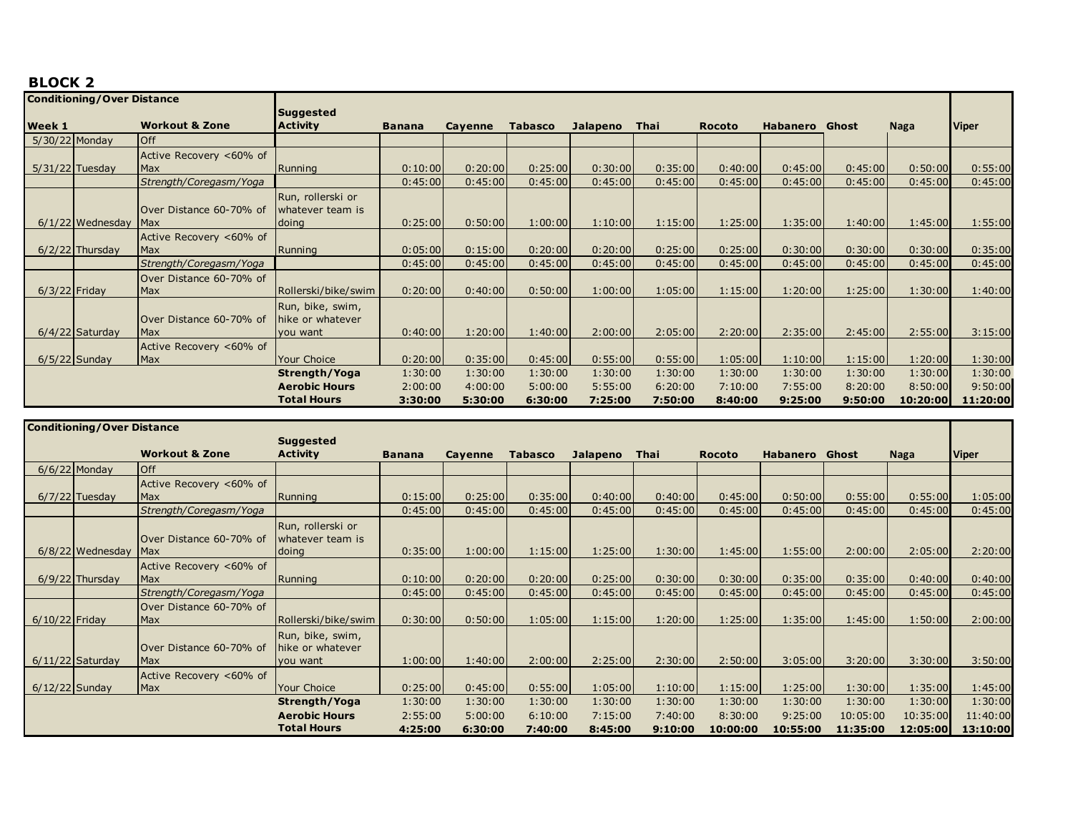|                 | <b>Conditioning/Over Distance</b> |                           |                      |               |         |                |          |         |               |                 |         |             |              |
|-----------------|-----------------------------------|---------------------------|----------------------|---------------|---------|----------------|----------|---------|---------------|-----------------|---------|-------------|--------------|
|                 |                                   |                           | <b>Suggested</b>     |               |         |                |          |         |               |                 |         |             |              |
| <b>Week 1</b>   |                                   | <b>Workout &amp; Zone</b> | <b>Activity</b>      | <b>Banana</b> | Cayenne | <b>Tabasco</b> | Jalapeno | Thai    | <b>Rocoto</b> | <b>Habanero</b> | Ghost   | <b>Naga</b> | <b>Viper</b> |
| 5/30/22 Monday  |                                   | <b>Off</b>                |                      |               |         |                |          |         |               |                 |         |             |              |
|                 |                                   | Active Recovery <60% of   |                      |               |         |                |          |         |               |                 |         |             |              |
|                 | $5/31/22$ Tuesday                 | Max                       | Running              | 0:10:00       | 0:20:00 | 0:25:00        | 0:30:00  | 0:35:00 | 0:40:00       | 0:45:00         | 0:45:00 | 0:50:00     | 0:55:00      |
|                 |                                   | Strength/Coregasm/Yoga    |                      | 0:45:00       | 0:45:00 | 0:45:00        | 0:45:00  | 0:45:00 | 0:45:00       | 0:45:00         | 0:45:00 | 0:45:00     | 0:45:00      |
|                 |                                   |                           | Run, rollerski or    |               |         |                |          |         |               |                 |         |             |              |
|                 |                                   | Over Distance 60-70% of   | whatever team is     |               |         |                |          |         |               |                 |         |             |              |
|                 | $6/1/22$ Wednesday                | <b>Max</b>                | doing                | 0:25:00       | 0:50:00 | 1:00:00        | 1:10:00  | 1:15:00 | 1:25:00       | 1:35:00         | 1:40:00 | 1:45:00     | 1:55:00      |
|                 |                                   | Active Recovery <60% of   |                      |               |         |                |          |         |               |                 |         |             |              |
|                 | $6/2/22$ Thursday                 | <b>Max</b>                | Running              | 0:05:00       | 0:15:00 | 0:20:00        | 0:20:00  | 0:25:00 | 0:25:00       | 0:30:00         | 0:30:00 | 0:30:00     | 0:35:00      |
|                 |                                   | Strength/Coregasm/Yoga    |                      | 0:45:00       | 0:45:00 | 0:45:00        | 0:45:00  | 0:45:00 | 0:45:00       | 0:45:00         | 0:45:00 | 0:45:00     | 0:45:00      |
|                 |                                   | Over Distance 60-70% of   |                      |               |         |                |          |         |               |                 |         |             |              |
| $6/3/22$ Friday |                                   | Max                       | Rollerski/bike/swim  | 0:20:00       | 0:40:00 | 0:50:00        | 1:00:00  | 1:05:00 | 1:15:00       | 1:20:00         | 1:25:00 | 1:30:00     | 1:40:00      |
|                 |                                   |                           | Run, bike, swim,     |               |         |                |          |         |               |                 |         |             |              |
|                 |                                   | Over Distance 60-70% of   | hike or whatever     |               |         |                |          |         |               |                 |         |             |              |
|                 | $6/4/22$ Saturday                 | Max                       | you want             | 0:40:00       | 1:20:00 | 1:40:00        | 2:00:00  | 2:05:00 | 2:20:00       | 2:35:00         | 2:45:00 | 2:55:00     | 3:15:00      |
|                 |                                   | Active Recovery <60% of   |                      |               |         |                |          |         |               |                 |         |             |              |
|                 | $6/5/22$ Sunday                   | Max                       | Your Choice          | 0:20:00       | 0:35:00 | 0:45:00        | 0:55:00  | 0:55:00 | 1:05:00       | 1:10:00         | 1:15:00 | 1:20:00     | 1:30:00      |
|                 |                                   |                           | Strength/Yoga        | 1:30:00       | 1:30:00 | 1:30:00        | 1:30:00  | 1:30:00 | 1:30:00       | 1:30:00         | 1:30:00 | 1:30:00     | 1:30:00      |
|                 |                                   |                           | <b>Aerobic Hours</b> | 2:00:00       | 4:00:00 | 5:00:00        | 5:55:00  | 6:20:00 | 7:10:00       | 7:55:00         | 8:20:00 | 8:50:00     | 9:50:00      |
|                 |                                   |                           | <b>Total Hours</b>   | 3:30:00       | 5:30:00 | 6:30:00        | 7:25:00  | 7:50:00 | 8:40:00       | 9:25:00         | 9:50:00 | 10:20:00    | 11:20:00     |

|                  | <b>Conditioning/Over Distance</b> |                           |                      |               |         |                |                 |         |               |                       |          |             |              |
|------------------|-----------------------------------|---------------------------|----------------------|---------------|---------|----------------|-----------------|---------|---------------|-----------------------|----------|-------------|--------------|
|                  |                                   |                           | <b>Suggested</b>     |               |         |                |                 |         |               |                       |          |             |              |
|                  |                                   | <b>Workout &amp; Zone</b> | <b>Activity</b>      | <b>Banana</b> | Cayenne | <b>Tabasco</b> | <b>Jalapeno</b> | Thai    | <b>Rocoto</b> | <b>Habanero</b> Ghost |          | <b>Naga</b> | <b>Viper</b> |
|                  | $6/6/22$ Monday                   | <b>Off</b>                |                      |               |         |                |                 |         |               |                       |          |             |              |
|                  |                                   | Active Recovery <60% of   |                      |               |         |                |                 |         |               |                       |          |             |              |
|                  | $6/7/22$ Tuesday                  | <b>Max</b>                | Running              | 0:15:00       | 0:25:00 | 0:35:00        | 0:40:00         | 0:40:00 | 0:45:00       | 0:50:00               | 0:55:00  | 0:55:00     | 1:05:00      |
|                  |                                   | Strength/Coregasm/Yoga    |                      | 0:45:00       | 0:45:00 | 0:45:00        | 0:45:00         | 0:45:00 | 0:45:00       | 0:45:00               | 0:45:00  | 0:45:00     | 0:45:00      |
|                  |                                   |                           | Run, rollerski or    |               |         |                |                 |         |               |                       |          |             |              |
|                  |                                   | Over Distance 60-70% of   | whatever team is     |               |         |                |                 |         |               |                       |          |             |              |
|                  | $6/8/22$ Wednesday                | <b>Max</b>                | doing                | 0:35:00       | 1:00:00 | 1:15:00        | 1:25:00         | 1:30:00 | 1:45:00       | 1:55:00               | 2:00:00  | 2:05:00     | 2:20:00      |
|                  |                                   | Active Recovery <60% of   |                      |               |         |                |                 |         |               |                       |          |             |              |
|                  | $6/9/22$ Thursday                 | Max                       | Running              | 0:10:00       | 0:20:00 | 0:20:00        | 0:25:00         | 0:30:00 | 0:30:00       | 0:35:00               | 0:35:00  | 0:40:00     | 0:40:00      |
|                  |                                   | Strength/Coregasm/Yoga    |                      | 0:45:00       | 0:45:00 | 0:45:00        | 0:45:00         | 0:45:00 | 0:45:00       | 0:45:00               | 0:45:00  | 0:45:00     | 0:45:00      |
|                  |                                   | Over Distance 60-70% of   |                      |               |         |                |                 |         |               |                       |          |             |              |
| $6/10/22$ Friday |                                   | Max                       | Rollerski/bike/swim  | 0:30:00       | 0:50:00 | 1:05:00        | 1:15:00         | 1:20:00 | 1:25:00       | 1:35:00               | 1:45:00  | 1:50:00     | 2:00:00      |
|                  |                                   |                           | Run, bike, swim,     |               |         |                |                 |         |               |                       |          |             |              |
|                  |                                   | Over Distance 60-70% of   | hike or whatever     |               |         |                |                 |         |               |                       |          |             |              |
|                  | $6/11/22$ Saturday                | Max                       | you want             | 1:00:00       | 1:40:00 | 2:00:00        | 2:25:00         | 2:30:00 | 2:50:00       | 3:05:00               | 3:20:00  | 3:30:00     | 3:50:00      |
|                  |                                   | Active Recovery <60% of   |                      |               |         |                |                 |         |               |                       |          |             |              |
| $6/12/22$ Sunday |                                   | Max                       | <b>Your Choice</b>   | 0:25:00       | 0:45:00 | 0:55:00        | 1:05:00         | 1:10:00 | 1:15:00       | 1:25:00               | 1:30:00  | 1:35:00     | 1:45:00      |
|                  |                                   |                           | Strength/Yoga        | 1:30:00       | 1:30:00 | 1:30:00        | 1:30:00         | 1:30:00 | 1:30:00       | 1:30:00               | 1:30:00  | 1:30:00     | 1:30:00      |
|                  |                                   |                           | <b>Aerobic Hours</b> | 2:55:00       | 5:00:00 | 6:10:00        | 7:15:00         | 7:40:00 | 8:30:00       | 9:25:00               | 10:05:00 | 10:35:00    | 11:40:00     |
|                  |                                   |                           | <b>Total Hours</b>   | 4:25:00       | 6:30:00 | 7:40:00        | 8:45:00         | 9:10:00 | 10:00:00      | 10:55:00              | 11:35:00 | 12:05:00    | 13:10:00     |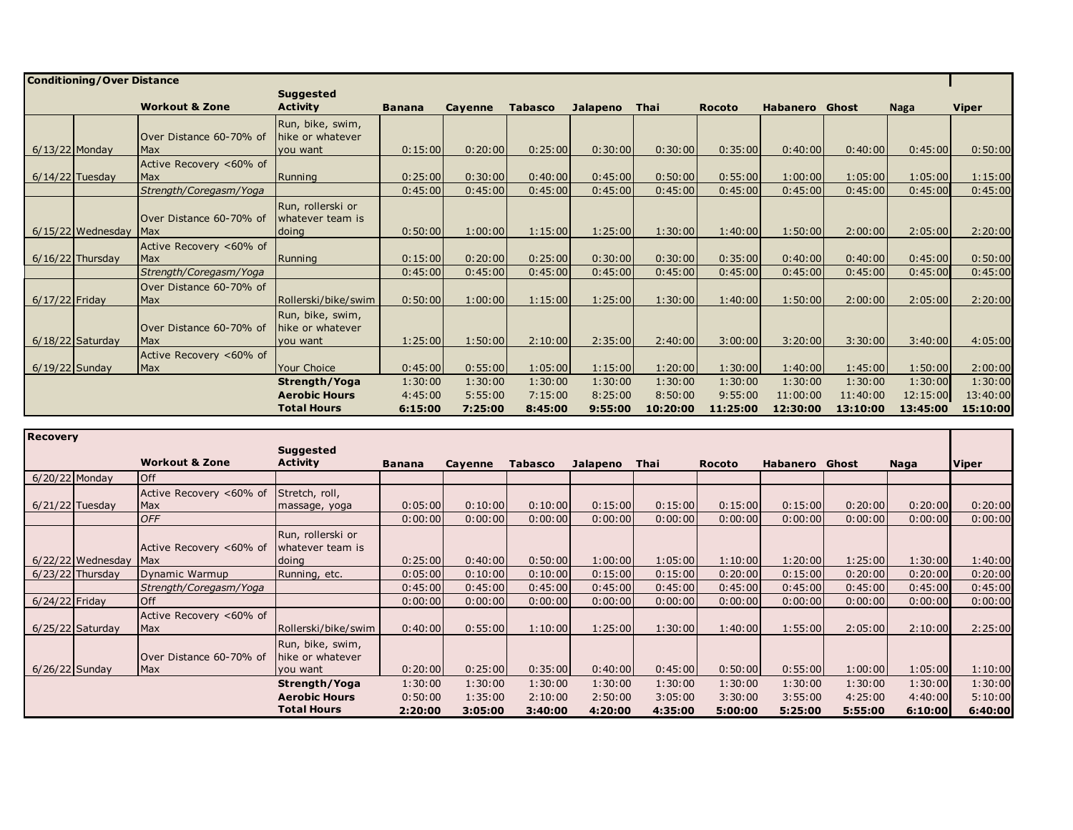|                  | <b>Conditioning/Over Distance</b> |                                        |                                                  |               |                |                |          |          |               |                       |          |          |          |
|------------------|-----------------------------------|----------------------------------------|--------------------------------------------------|---------------|----------------|----------------|----------|----------|---------------|-----------------------|----------|----------|----------|
|                  |                                   |                                        | <b>Suggested</b>                                 |               |                |                |          |          |               |                       |          |          |          |
|                  |                                   | <b>Workout &amp; Zone</b>              | <b>Activity</b>                                  | <b>Banana</b> | <b>Cavenne</b> | <b>Tabasco</b> | Jalapeno | Thai     | <b>Rocoto</b> | <b>Habanero</b> Ghost |          | Naga     | Viper    |
| $6/13/22$ Monday |                                   | Over Distance 60-70% of<br><b>IMax</b> | Run, bike, swim,<br>hike or whatever<br>you want | 0:15:00       | 0:20:00        | 0:25:00        | 0:30:00  | 0:30:00  | 0:35:00       | 0:40:00               | 0:40:00  | 0:45:00  | 0:50:00  |
|                  | $6/14/22$ Tuesday                 | Active Recovery <60% of<br>Max         | Running                                          | 0:25:00       | 0:30:00        | 0:40:00        | 0:45:00  | 0:50:00  | 0:55:00       | 1:00:00               | 1:05:00  | 1:05:00  | 1:15:00  |
|                  |                                   | Strength/Coregasm/Yoga                 |                                                  | 0:45:00       | 0:45:00        | 0:45:00        | 0:45:00  | 0:45:00  | 0:45:00       | 0:45:00               | 0:45:00  | 0:45:00  | 0:45:00  |
|                  | $6/15/22$ Wednesday               | Over Distance 60-70% of<br><b>Max</b>  | Run, rollerski or<br>whatever team is<br>doing   | 0:50:00       | 1:00:00        | 1:15:00        | 1:25:00  | 1:30:00  | 1:40:00       | 1:50:00               | 2:00:00  | 2:05:00  | 2:20:00  |
|                  | $6/16/22$ Thursday                | Active Recovery <60% of<br><b>Max</b>  | Running                                          | 0:15:00       | 0:20:00        | 0:25:00        | 0:30:00  | 0:30:00  | 0:35:00       | 0:40:00               | 0:40:00  | 0:45:00  | 0:50:00  |
|                  |                                   | Strength/Coregasm/Yoga                 |                                                  | 0:45:00       | 0:45:00        | 0:45:00        | 0:45:00  | 0:45:00  | 0:45:00       | 0:45:00               | 0:45:00  | 0:45:00  | 0:45:00  |
| $6/17/22$ Friday |                                   | Over Distance 60-70% of<br><b>Max</b>  | Rollerski/bike/swim                              | 0:50:00       | 1:00:00        | 1:15:00        | 1:25:00  | 1:30:00  | 1:40:00       | 1:50:00               | 2:00:00  | 2:05:00  | 2:20:00  |
|                  | $6/18/22$ Saturday                | Over Distance 60-70% of<br><b>IMax</b> | Run, bike, swim,<br>hike or whatever<br>you want | 1:25:00       | 1:50:00        | 2:10:00        | 2:35:00  | 2:40:00  | 3:00:00       | 3:20:00               | 3:30:00  | 3:40:00  | 4:05:00  |
| $6/19/22$ Sunday |                                   | Active Recovery <60% of<br><b>Max</b>  | Your Choice                                      | 0:45:00       | 0:55:00        | 1:05:00        | 1:15:00  | 1:20:00  | 1:30:00       | 1:40:00               | 1:45:00  | 1:50:00  | 2:00:00  |
|                  |                                   |                                        | Strength/Yoga                                    | 1:30:00       | 1:30:00        | 1:30:00        | 1:30:00  | 1:30:00  | 1:30:00       | 1:30:00               | 1:30:00  | 1:30:00  | 1:30:00  |
|                  |                                   |                                        | <b>Aerobic Hours</b>                             | 4:45:00       | 5:55:00        | 7:15:00        | 8:25:00  | 8:50:00  | 9:55:00       | 11:00:00              | 11:40:00 | 12:15:00 | 13:40:00 |
|                  |                                   |                                        | <b>Total Hours</b>                               | 6:15:00       | 7:25:00        | 8:45:00        | 9:55:00  | 10:20:00 | 11:25:00      | 12:30:00              | 13:10:00 | 13:45:00 | 15:10:00 |

| <b>Recovery</b>   |                     |                           |                      |               |         |                |          |         |               |          |         |         |              |
|-------------------|---------------------|---------------------------|----------------------|---------------|---------|----------------|----------|---------|---------------|----------|---------|---------|--------------|
|                   |                     |                           | <b>Suggested</b>     |               |         |                |          |         |               |          |         |         |              |
|                   |                     | <b>Workout &amp; Zone</b> | <b>Activity</b>      | <b>Banana</b> | Cayenne | <b>Tabasco</b> | Jalapeno | Thai    | <b>Rocoto</b> | Habanero | Ghost   | Naga    | <b>Viper</b> |
|                   | 6/20/22 Monday      | <b>Off</b>                |                      |               |         |                |          |         |               |          |         |         |              |
|                   |                     | Active Recovery <60% of   | Stretch, roll,       |               |         |                |          |         |               |          |         |         |              |
| $6/21/22$ Tuesday |                     | Max                       | massage, yoga        | 0:05:00       | 0:10:00 | 0:10:00        | 0:15:00  | 0:15:00 | 0:15:00       | 0:15:00  | 0:20:00 | 0:20:00 | 0:20:00      |
|                   |                     | <b>OFF</b>                |                      | 0:00:00       | 0:00:00 | 0:00:00        | 0:00:00  | 0:00:00 | 0:00:00       | 0:00:00  | 0:00:00 | 0:00:00 | 0:00:00      |
|                   |                     |                           | Run, rollerski or    |               |         |                |          |         |               |          |         |         |              |
|                   |                     | Active Recovery <60% of   | whatever team is     |               |         |                |          |         |               |          |         |         |              |
|                   | $6/22/22$ Wednesday | Max                       | doing                | 0:25:00       | 0:40:00 | 0:50:00        | 1:00:00  | 1:05:00 | 1:10:00       | 1:20:00  | 1:25:00 | 1:30:00 | 1:40:00      |
|                   | $6/23/22$ Thursday  | Dynamic Warmup            | Running, etc.        | 0:05:00       | 0:10:00 | 0:10:00        | 0:15:00  | 0:15:00 | 0:20:00       | 0:15:00  | 0:20:00 | 0:20:00 | 0:20:00      |
|                   |                     | Strength/Coregasm/Yoga    |                      | 0:45:00       | 0:45:00 | 0:45:00        | 0:45:00  | 0:45:00 | 0:45:00       | 0:45:00  | 0:45:00 | 0:45:00 | 0:45:00      |
| 6/24/22 Friday    |                     | <b>Off</b>                |                      | 0:00:00       | 0:00:00 | 0:00:00        | 0:00:00  | 0:00:00 | 0:00:00       | 0:00:00  | 0:00:00 | 0:00:00 | 0:00:00      |
|                   |                     | Active Recovery <60% of   |                      |               |         |                |          |         |               |          |         |         |              |
|                   | $6/25/22$ Saturday  | Max                       | Rollerski/bike/swim  | 0:40:00       | 0:55:00 | 1:10:00        | 1:25:00  | 1:30:00 | 1:40:00       | 1:55:00  | 2:05:00 | 2:10:00 | 2:25:00      |
|                   |                     |                           | Run, bike, swim,     |               |         |                |          |         |               |          |         |         |              |
|                   |                     | Over Distance 60-70% of   | hike or whatever     |               |         |                |          |         |               |          |         |         |              |
|                   | $6/26/22$ Sunday    | Max                       | you want             | 0:20:00       | 0:25:00 | 0:35:00        | 0:40:00  | 0:45:00 | 0:50:00       | 0:55:00  | 1:00:00 | 1:05:00 | 1:10:00      |
|                   |                     |                           | Strength/Yoga        | 1:30:00       | 1:30:00 | 1:30:00        | 1:30:00  | 1:30:00 | 1:30:00       | 1:30:00  | 1:30:00 | 1:30:00 | 1:30:00      |
|                   |                     |                           | <b>Aerobic Hours</b> | 0:50:00       | 1:35:00 | 2:10:00        | 2:50:00  | 3:05:00 | 3:30:00       | 3:55:00  | 4:25:00 | 4:40:00 | 5:10:00      |
|                   |                     |                           | <b>Total Hours</b>   | 2:20:00       | 3:05:00 | 3:40:00        | 4:20:00  | 4:35:00 | 5:00:00       | 5:25:00  | 5:55:00 | 6:10:00 | 6:40:00      |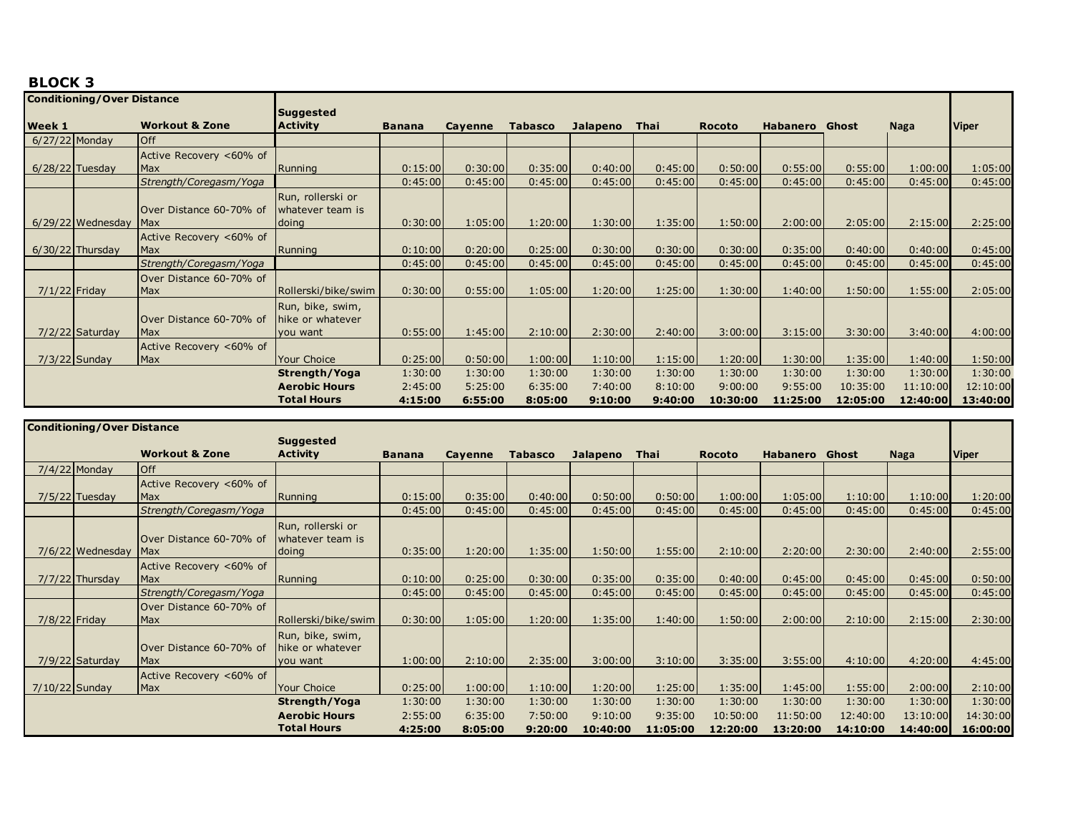|                 | <b>Conditioning/Over Distance</b> |                           |                      |               |         |                |                 |         |               |                 |          |             |              |
|-----------------|-----------------------------------|---------------------------|----------------------|---------------|---------|----------------|-----------------|---------|---------------|-----------------|----------|-------------|--------------|
|                 |                                   |                           | <b>Suggested</b>     |               |         |                |                 |         |               |                 |          |             |              |
| <b>Week 1</b>   |                                   | <b>Workout &amp; Zone</b> | <b>Activity</b>      | <b>Banana</b> | Cayenne | <b>Tabasco</b> | <b>Jalapeno</b> | Thai    | <b>Rocoto</b> | <b>Habanero</b> | Ghost    | <b>Naga</b> | <b>Viper</b> |
| 6/27/22 Monday  |                                   | <b>Off</b>                |                      |               |         |                |                 |         |               |                 |          |             |              |
|                 |                                   | Active Recovery <60% of   |                      |               |         |                |                 |         |               |                 |          |             |              |
|                 | $6/28/22$ Tuesday                 | <b>Max</b>                | Running              | 0:15:00       | 0:30:00 | 0:35:00        | 0:40:00         | 0:45:00 | 0:50:00       | 0:55:00         | 0:55:00  | 1:00:00     | 1:05:00      |
|                 |                                   | Strength/Coregasm/Yoga    |                      | 0:45:00       | 0:45:00 | 0:45:00        | 0:45:00         | 0:45:00 | 0:45:00       | 0:45:00         | 0:45:00  | 0:45:00     | 0:45:00      |
|                 |                                   |                           | Run, rollerski or    |               |         |                |                 |         |               |                 |          |             |              |
|                 |                                   | Over Distance 60-70% of   | whatever team is     |               |         |                |                 |         |               |                 |          |             |              |
|                 | $6/29/22$ Wednesday               | Max                       | doing                | 0:30:00       | 1:05:00 | 1:20:00        | 1:30:00         | 1:35:00 | 1:50:00       | 2:00:00         | 2:05:00  | 2:15:00     | 2:25:00      |
|                 |                                   | Active Recovery <60% of   |                      |               |         |                |                 |         |               |                 |          |             |              |
|                 | $6/30/22$ Thursday                | Max                       | Running              | 0:10:00       | 0:20:00 | 0:25:00        | 0:30:00         | 0:30:00 | 0:30:00       | 0:35:00         | 0:40:00  | 0:40:00     | 0:45:00      |
|                 |                                   | Strength/Coregasm/Yoga    |                      | 0:45:00       | 0:45:00 | 0:45:00        | 0:45:00         | 0:45:00 | 0:45:00       | 0:45:00         | 0:45:00  | 0:45:00     | 0:45:00      |
|                 |                                   | Over Distance 60-70% of   |                      |               |         |                |                 |         |               |                 |          |             |              |
| $7/1/22$ Friday |                                   | Max                       | Rollerski/bike/swim  | 0:30:00       | 0:55:00 | 1:05:00        | 1:20:00         | 1:25:00 | 1:30:00       | 1:40:00         | 1:50:00  | 1:55:00     | 2:05:00      |
|                 |                                   |                           | Run, bike, swim,     |               |         |                |                 |         |               |                 |          |             |              |
|                 |                                   | Over Distance 60-70% of   | hike or whatever     |               |         |                |                 |         |               |                 |          |             |              |
|                 | 7/2/22 Saturday                   | Max                       | you want             | 0:55:00       | 1:45:00 | 2:10:00        | 2:30:00         | 2:40:00 | 3:00:00       | 3:15:00         | 3:30:00  | 3:40:00     | 4:00:00      |
|                 |                                   | Active Recovery <60% of   |                      |               |         |                |                 |         |               |                 |          |             |              |
|                 | $7/3/22$ Sunday                   | Max                       | Your Choice          | 0:25:00       | 0:50:00 | 1:00:00        | 1:10:00         | 1:15:00 | 1:20:00       | 1:30:00         | 1:35:00  | 1:40:00     | 1:50:00      |
|                 |                                   |                           | Strength/Yoga        | 1:30:00       | 1:30:00 | 1:30:00        | 1:30:00         | 1:30:00 | 1:30:00       | 1:30:00         | 1:30:00  | 1:30:00     | 1:30:00      |
|                 |                                   |                           | <b>Aerobic Hours</b> | 2:45:00       | 5:25:00 | 6:35:00        | 7:40:00         | 8:10:00 | 9:00:00       | 9:55:00         | 10:35:00 | 11:10:00    | 12:10:00     |
|                 |                                   |                           | <b>Total Hours</b>   | 4:15:00       | 6:55:00 | 8:05:00        | 9:10:00         | 9:40:00 | 10:30:00      | 11:25:00        | 12:05:00 | 12:40:00    | 13:40:00     |

|                  | <b>Conditioning/Over Distance</b> |                           |                      |               |         |                |                 |          |               |                 |          |             |              |
|------------------|-----------------------------------|---------------------------|----------------------|---------------|---------|----------------|-----------------|----------|---------------|-----------------|----------|-------------|--------------|
|                  |                                   |                           | <b>Suggested</b>     |               |         |                |                 |          |               |                 |          |             |              |
|                  |                                   | <b>Workout &amp; Zone</b> | <b>Activity</b>      | <b>Banana</b> | Cayenne | <b>Tabasco</b> | <b>Jalapeno</b> | Thai     | <b>Rocoto</b> | <b>Habanero</b> | Ghost    | <b>Naga</b> | <b>Viper</b> |
|                  | $7/4/22$ Monday                   | <b>Off</b>                |                      |               |         |                |                 |          |               |                 |          |             |              |
|                  |                                   | Active Recovery <60% of   |                      |               |         |                |                 |          |               |                 |          |             |              |
|                  | $7/5/22$ Tuesday                  | <b>Max</b>                | Running              | 0:15:00       | 0:35:00 | 0:40:00        | 0:50:00         | 0:50:00  | 1:00:00       | 1:05:00         | 1:10:00  | 1:10:00     | 1:20:00      |
|                  |                                   | Strength/Coregasm/Yoga    |                      | 0:45:00       | 0:45:00 | 0:45:00        | 0:45:00         | 0:45:00  | 0:45:00       | 0:45:00         | 0:45:00  | 0:45:00     | 0:45:00      |
|                  |                                   |                           | Run, rollerski or    |               |         |                |                 |          |               |                 |          |             |              |
|                  |                                   | Over Distance 60-70% of   | whatever team is     |               |         |                |                 |          |               |                 |          |             |              |
|                  | 7/6/22 Wednesday                  | Max                       | doing                | 0:35:00       | 1:20:00 | 1:35:00        | 1:50:00         | 1:55:00  | 2:10:00       | 2:20:00         | 2:30:00  | 2:40:00     | 2:55:00      |
|                  |                                   | Active Recovery <60% of   |                      |               |         |                |                 |          |               |                 |          |             |              |
|                  | $7/7/22$ Thursday                 | Max                       | Running              | 0:10:00       | 0:25:00 | 0:30:00        | 0:35:00         | 0:35:00  | 0:40:00       | 0:45:00         | 0:45:00  | 0:45:00     | 0:50:00      |
|                  |                                   | Strength/Coregasm/Yoga    |                      | 0:45:00       | 0:45:00 | 0:45:00        | 0:45:00         | 0:45:00  | 0:45:00       | 0:45:00         | 0:45:00  | 0:45:00     | 0:45:00      |
|                  |                                   | Over Distance 60-70% of   |                      |               |         |                |                 |          |               |                 |          |             |              |
|                  | $7/8/22$ Friday                   | Max                       | Rollerski/bike/swim  | 0:30:00       | 1:05:00 | 1:20:00        | 1:35:00         | 1:40:00  | 1:50:00       | 2:00:00         | 2:10:00  | 2:15:00     | 2:30:00      |
|                  |                                   |                           | Run, bike, swim,     |               |         |                |                 |          |               |                 |          |             |              |
|                  |                                   | Over Distance 60-70% of   | hike or whatever     |               |         |                |                 |          |               |                 |          |             |              |
|                  | $7/9/22$ Saturday                 | <b>IMax</b>               | you want             | 1:00:00       | 2:10:00 | 2:35:00        | 3:00:00         | 3:10:00  | 3:35:00       | 3:55:00         | 4:10:00  | 4:20:00     | 4:45:00      |
|                  |                                   | Active Recovery <60% of   |                      |               |         |                |                 |          |               |                 |          |             |              |
| $7/10/22$ Sunday |                                   | Max                       | <b>Your Choice</b>   | 0:25:00       | 1:00:00 | 1:10:00        | 1:20:00         | 1:25:00  | 1:35:00       | 1:45:00         | 1:55:00  | 2:00:00     | 2:10:00      |
|                  |                                   |                           | Strength/Yoga        | 1:30:00       | 1:30:00 | 1:30:00        | 1:30:00         | 1:30:00  | 1:30:00       | 1:30:00         | 1:30:00  | 1:30:00     | 1:30:00      |
|                  |                                   |                           | <b>Aerobic Hours</b> | 2:55:00       | 6:35:00 | 7:50:00        | 9:10:00         | 9:35:00  | 10:50:00      | 11:50:00        | 12:40:00 | 13:10:00    | 14:30:00     |
|                  |                                   |                           | <b>Total Hours</b>   | 4:25:00       | 8:05:00 | 9:20:00        | 10:40:00        | 11:05:00 | 12:20:00      | 13:20:00        | 14:10:00 | 14:40:00    | 16:00:00     |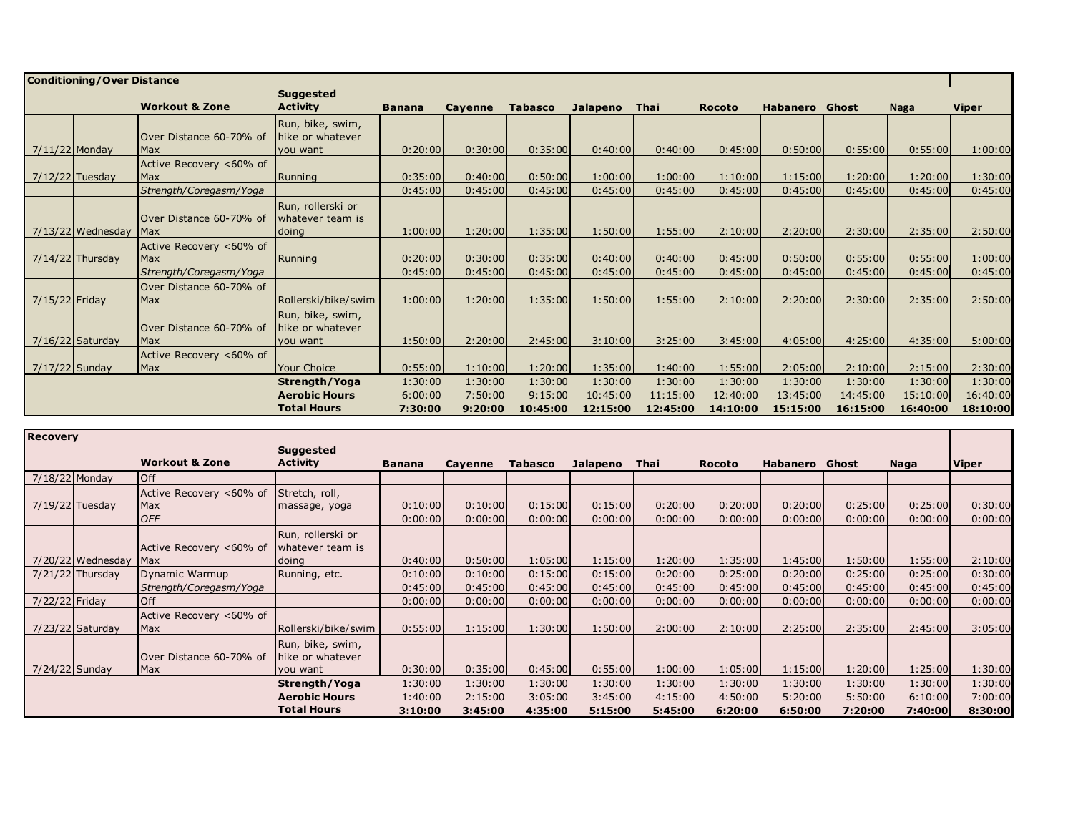|                  | <b>Conditioning/Over Distance</b> |                           |                      |               |         |                |          |          |               |                       |          |             |              |
|------------------|-----------------------------------|---------------------------|----------------------|---------------|---------|----------------|----------|----------|---------------|-----------------------|----------|-------------|--------------|
|                  |                                   |                           | <b>Suggested</b>     |               |         |                |          |          |               |                       |          |             |              |
|                  |                                   | <b>Workout &amp; Zone</b> | <b>Activity</b>      | <b>Banana</b> | Cayenne | <b>Tabasco</b> | Jalapeno | Thai     | <b>Rocoto</b> | <b>Habanero</b> Ghost |          | <b>Naga</b> | <b>Viper</b> |
|                  |                                   |                           | Run, bike, swim,     |               |         |                |          |          |               |                       |          |             |              |
|                  |                                   | Over Distance 60-70% of   | hike or whatever     |               |         |                |          |          |               |                       |          |             |              |
| $7/11/22$ Monday |                                   | Max                       | you want             | 0:20:00       | 0:30:00 | 0:35:00        | 0:40:00  | 0:40:00  | 0:45:00       | 0:50:00               | 0:55:00  | 0:55:00     | 1:00:00      |
|                  |                                   | Active Recovery <60% of   |                      |               |         |                |          |          |               |                       |          |             |              |
|                  | $7/12/22$ Tuesday                 | Max                       | Running              | 0:35:00       | 0:40:00 | 0:50:00        | 1:00:00  | 1:00:00  | 1:10:00       | 1:15:00               | 1:20:00  | 1:20:00     | 1:30:00      |
|                  |                                   | Strength/Coregasm/Yoga    |                      | 0:45:00       | 0:45:00 | 0:45:00        | 0:45:00  | 0:45:00  | 0:45:00       | 0:45:00               | 0:45:00  | 0:45:00     | 0:45:00      |
|                  |                                   |                           | Run, rollerski or    |               |         |                |          |          |               |                       |          |             |              |
|                  |                                   | Over Distance 60-70% of   | whatever team is     |               |         |                |          |          |               |                       |          |             |              |
|                  | $7/13/22$ Wednesday               | <b>Max</b>                | doing                | 1:00:00       | 1:20:00 | 1:35:00        | 1:50:00  | 1:55:00  | 2:10:00       | 2:20:00               | 2:30:00  | 2:35:00     | 2:50:00      |
|                  |                                   | Active Recovery <60% of   |                      |               |         |                |          |          |               |                       |          |             |              |
|                  | $7/14/22$ Thursday                | Max                       | Running              | 0:20:00       | 0:30:00 | 0:35:00        | 0:40:00  | 0:40:00  | 0:45:00       | 0:50:00               | 0:55:00  | 0:55:00     | 1:00:00      |
|                  |                                   | Strength/Coregasm/Yoga    |                      | 0:45:00       | 0:45:00 | 0:45:00        | 0:45:00  | 0:45:00  | 0:45:00       | 0:45:00               | 0:45:00  | 0:45:00     | 0:45:00      |
|                  |                                   | Over Distance 60-70% of   |                      |               |         |                |          |          |               |                       |          |             |              |
| 7/15/22 Friday   |                                   | <b>Max</b>                | Rollerski/bike/swim  | 1:00:00       | 1:20:00 | 1:35:00        | 1:50:00  | 1:55:00  | 2:10:00       | 2:20:00               | 2:30:00  | 2:35:00     | 2:50:00      |
|                  |                                   |                           | Run, bike, swim,     |               |         |                |          |          |               |                       |          |             |              |
|                  |                                   | Over Distance 60-70% of   | hike or whatever     |               |         |                |          |          |               |                       |          |             |              |
|                  | 7/16/22 Saturday                  | <b>Max</b>                | you want             | 1:50:00       | 2:20:00 | 2:45:00        | 3:10:00  | 3:25:00  | 3:45:00       | 4:05:00               | 4:25:00  | 4:35:00     | 5:00:00      |
|                  |                                   | Active Recovery <60% of   |                      |               |         |                |          |          |               |                       |          |             |              |
| $7/17/22$ Sunday |                                   | <b>Max</b>                | <b>Your Choice</b>   | 0:55:00       | 1:10:00 | 1:20:00        | 1:35:00  | 1:40:00  | 1:55:00       | 2:05:00               | 2:10:00  | 2:15:00     | 2:30:00      |
|                  |                                   |                           | Strength/Yoga        | 1:30:00       | 1:30:00 | 1:30:00        | 1:30:00  | 1:30:00  | 1:30:00       | 1:30:00               | 1:30:00  | 1:30:00     | 1:30:00      |
|                  |                                   |                           | <b>Aerobic Hours</b> | 6:00:00       | 7:50:00 | 9:15:00        | 10:45:00 | 11:15:00 | 12:40:00      | 13:45:00              | 14:45:00 | 15:10:00    | 16:40:00     |
|                  |                                   |                           | <b>Total Hours</b>   | 7:30:00       | 9:20:00 | 10:45:00       | 12:15:00 | 12:45:00 | 14:10:00      | 15:15:00              | 16:15:00 | 16:40:00    | 18:10:00     |

| <b>Recovery</b>    |                   |                           |                      |               |         |                |          |             |               |                 |         |         |              |
|--------------------|-------------------|---------------------------|----------------------|---------------|---------|----------------|----------|-------------|---------------|-----------------|---------|---------|--------------|
|                    |                   |                           | <b>Suggested</b>     |               |         |                |          |             |               |                 |         |         |              |
|                    |                   | <b>Workout &amp; Zone</b> | <b>Activity</b>      | <b>Banana</b> | Cayenne | <b>Tabasco</b> | Jalapeno | <b>Thai</b> | <b>Rocoto</b> | <b>Habanero</b> | Ghost   | Naga    | <b>Viper</b> |
| 7/18/22 Monday     |                   | Off                       |                      |               |         |                |          |             |               |                 |         |         |              |
|                    |                   | Active Recovery <60% of   | Stretch, roll,       |               |         |                |          |             |               |                 |         |         |              |
| 7/19/22 Tuesday    |                   | <b>Max</b>                | massage, yoga        | 0:10:00       | 0:10:00 | 0:15:00        | 0:15:00  | 0:20:00     | 0:20:00       | 0:20:00         | 0:25:00 | 0:25:00 | 0:30:00      |
|                    |                   | <b>OFF</b>                |                      | 0:00:00       | 0:00:00 | 0:00:00        | 0:00:00  | 0:00:00     | 0:00:00       | 0:00:00         | 0:00:00 | 0:00:00 | 0:00:00      |
|                    |                   |                           | Run, rollerski or    |               |         |                |          |             |               |                 |         |         |              |
|                    |                   | Active Recovery <60% of   | whatever team is     |               |         |                |          |             |               |                 |         |         |              |
|                    | 7/20/22 Wednesday | Max                       | doing                | 0:40:00       | 0:50:00 | 1:05:00        | 1:15:00  | 1:20:00     | 1:35:00       | 1:45:00         | 1:50:00 | 1:55:00 | 2:10:00      |
| $7/21/22$ Thursday |                   | Dynamic Warmup            | Running, etc.        | 0:10:00       | 0:10:00 | 0:15:00        | 0:15:00  | 0:20:00     | 0:25:00       | 0:20:00         | 0:25:00 | 0:25:00 | 0:30:00      |
|                    |                   | Strength/Coregasm/Yoga    |                      | 0:45:00       | 0:45:00 | 0:45:00        | 0:45:00  | 0:45:00     | 0:45:00       | 0:45:00         | 0:45:00 | 0:45:00 | 0:45:00      |
| 7/22/22 Friday     |                   | <b>Off</b>                |                      | 0:00:00       | 0:00:00 | 0:00:00        | 0:00:00  | 0:00:00     | 0:00:00       | 0:00:00         | 0:00:00 | 0:00:00 | 0:00:00      |
|                    |                   | Active Recovery <60% of   |                      |               |         |                |          |             |               |                 |         |         |              |
|                    | 7/23/22 Saturday  | Max                       | Rollerski/bike/swim  | 0:55:00       | 1:15:00 | 1:30:00        | 1:50:00  | 2:00:00     | 2:10:00       | 2:25:00         | 2:35:00 | 2:45:00 | 3:05:00      |
|                    |                   |                           | Run, bike, swim,     |               |         |                |          |             |               |                 |         |         |              |
|                    |                   | Over Distance 60-70% of   | hike or whatever     |               |         |                |          |             |               |                 |         |         |              |
| 7/24/22 Sunday     |                   | Max                       | you want             | 0:30:00       | 0:35:00 | 0:45:00        | 0:55:00  | 1:00:00     | 1:05:00       | 1:15:00         | 1:20:00 | 1:25:00 | 1:30:00      |
|                    |                   |                           | Strength/Yoga        | 1:30:00       | 1:30:00 | 1:30:00        | 1:30:00  | 1:30:00     | 1:30:00       | 1:30:00         | 1:30:00 | 1:30:00 | 1:30:00      |
|                    |                   |                           | <b>Aerobic Hours</b> | 1:40:00       | 2:15:00 | 3:05:00        | 3:45:00  | 4:15:00     | 4:50:00       | 5:20:00         | 5:50:00 | 6:10:00 | 7:00:00      |
|                    |                   |                           | <b>Total Hours</b>   | 3:10:00       | 3:45:00 | 4:35:00        | 5:15:00  | 5:45:00     | 6:20:00       | 6:50:00         | 7:20:00 | 7:40:00 | 8:30:00      |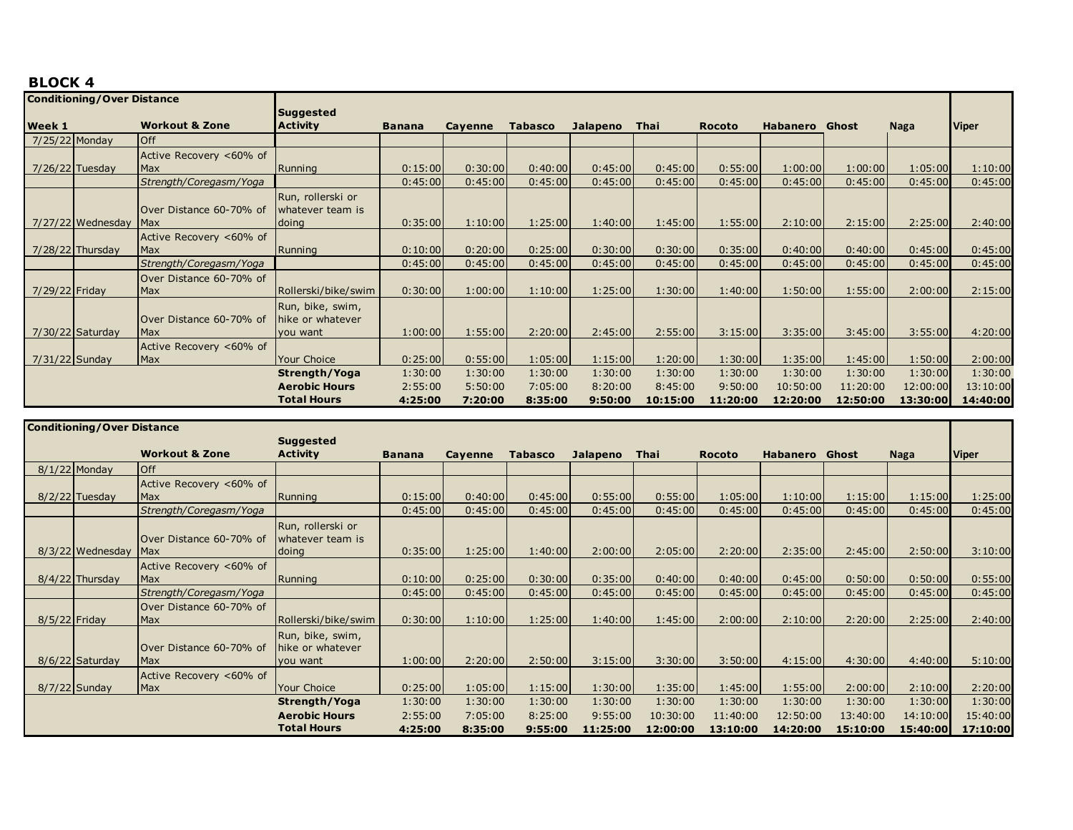| <b>Conditioning/Over Distance</b> |                     |                           |                      |               |         |                |                 |          |               |                 |          |          |              |
|-----------------------------------|---------------------|---------------------------|----------------------|---------------|---------|----------------|-----------------|----------|---------------|-----------------|----------|----------|--------------|
|                                   |                     |                           | <b>Suggested</b>     |               |         |                |                 |          |               |                 |          |          |              |
| <b>Week 1</b>                     |                     | <b>Workout &amp; Zone</b> | <b>Activity</b>      | <b>Banana</b> | Cayenne | <b>Tabasco</b> | <b>Jalapeno</b> | Thai     | <b>Rocoto</b> | <b>Habanero</b> | Ghost    | Naga     | <b>Viper</b> |
| 7/25/22 Monday                    |                     | <b>Off</b>                |                      |               |         |                |                 |          |               |                 |          |          |              |
|                                   |                     | Active Recovery <60% of   |                      |               |         |                |                 |          |               |                 |          |          |              |
| $7/26/22$ Tuesday                 |                     | Max                       | Running              | 0:15:00       | 0:30:00 | 0:40:00        | 0:45:00         | 0:45:00  | 0:55:00       | 1:00:00         | 1:00:00  | 1:05:00  | 1:10:00      |
|                                   |                     | Strength/Coregasm/Yoga    |                      | 0:45:00       | 0:45:00 | 0:45:00        | 0:45:00         | 0:45:00  | 0:45:00       | 0:45:00         | 0:45:00  | 0:45:00  | 0:45:00      |
|                                   |                     |                           | Run, rollerski or    |               |         |                |                 |          |               |                 |          |          |              |
|                                   |                     | Over Distance 60-70% of   | whatever team is     |               |         |                |                 |          |               |                 |          |          |              |
|                                   | $7/27/22$ Wednesday | <b>Max</b>                | doing                | 0:35:00       | 1:10:00 | 1:25:00        | 1:40:00         | 1:45:00  | 1:55:00       | 2:10:00         | 2:15:00  | 2:25:00  | 2:40:00      |
|                                   |                     | Active Recovery <60% of   |                      |               |         |                |                 |          |               |                 |          |          |              |
|                                   | $7/28/22$ Thursday  | <b>Max</b>                | Running              | 0:10:00       | 0:20:00 | 0:25:00        | 0:30:00         | 0:30:00  | 0:35:00       | 0:40:00         | 0:40:00  | 0:45:00  | 0:45:00      |
|                                   |                     | Strength/Coregasm/Yoga    |                      | 0:45:00       | 0:45:00 | 0:45:00        | 0:45:00         | 0:45:00  | 0:45:00       | 0:45:00         | 0:45:00  | 0:45:00  | 0:45:00      |
|                                   |                     | Over Distance 60-70% of   |                      |               |         |                |                 |          |               |                 |          |          |              |
| 7/29/22 Friday                    |                     | Max                       | Rollerski/bike/swim  | 0:30:00       | 1:00:00 | 1:10:00        | 1:25:00         | 1:30:00  | 1:40:00       | 1:50:00         | 1:55:00  | 2:00:00  | 2:15:00      |
|                                   |                     |                           | Run, bike, swim,     |               |         |                |                 |          |               |                 |          |          |              |
|                                   |                     | Over Distance 60-70% of   | Thike or whatever    |               |         |                |                 |          |               |                 |          |          |              |
|                                   | $7/30/22$ Saturday  | Max                       | you want             | 1:00:00       | 1:55:00 | 2:20:00        | 2:45:00         | 2:55:00  | 3:15:00       | 3:35:00         | 3:45:00  | 3:55:00  | 4:20:00      |
|                                   |                     | Active Recovery <60% of   |                      |               |         |                |                 |          |               |                 |          |          |              |
| 7/31/22 Sunday                    |                     | Max                       | Your Choice          | 0:25:00       | 0:55:00 | 1:05:00        | 1:15:00         | 1:20:00  | 1:30:00       | 1:35:00         | 1:45:00  | 1:50:00  | 2:00:00      |
|                                   |                     |                           | Strength/Yoga        | 1:30:00       | 1:30:00 | 1:30:00        | 1:30:00         | 1:30:00  | 1:30:00       | 1:30:00         | 1:30:00  | 1:30:00  | 1:30:00      |
|                                   |                     |                           | <b>Aerobic Hours</b> | 2:55:00       | 5:50:00 | 7:05:00        | 8:20:00         | 8:45:00  | 9:50:00       | 10:50:00        | 11:20:00 | 12:00:00 | 13:10:00     |
|                                   |                     |                           | <b>Total Hours</b>   | 4:25:00       | 7:20:00 | 8:35:00        | 9:50:00         | 10:15:00 | 11:20:00      | 12:20:00        | 12:50:00 | 13:30:00 | 14:40:00     |

|               | <b>Conditioning/Over Distance</b> |                           |                      |               |         |                |                 |          |               |                       |          |             |              |
|---------------|-----------------------------------|---------------------------|----------------------|---------------|---------|----------------|-----------------|----------|---------------|-----------------------|----------|-------------|--------------|
|               |                                   |                           | <b>Suggested</b>     |               |         |                |                 |          |               |                       |          |             |              |
|               |                                   | <b>Workout &amp; Zone</b> | <b>Activity</b>      | <b>Banana</b> | Cayenne | <b>Tabasco</b> | <b>Jalapeno</b> | Thai     | <b>Rocoto</b> | <b>Habanero</b> Ghost |          | <b>Naga</b> | <b>Viper</b> |
|               | $8/1/22$ Monday                   | Off                       |                      |               |         |                |                 |          |               |                       |          |             |              |
|               |                                   | Active Recovery <60% of   |                      |               |         |                |                 |          |               |                       |          |             |              |
|               | $8/2/22$ Tuesday                  | <b>Max</b>                | Running              | 0:15:00       | 0:40:00 | 0:45:00        | 0:55:00         | 0:55:00  | 1:05:00       | 1:10:00               | 1:15:00  | 1:15:00     | 1:25:00      |
|               |                                   | Strength/Coregasm/Yoga    |                      | 0:45:00       | 0:45:00 | 0:45:00        | 0:45:00         | 0:45:00  | 0:45:00       | 0:45:00               | 0:45:00  | 0:45:00     | 0:45:00      |
|               |                                   |                           | Run, rollerski or    |               |         |                |                 |          |               |                       |          |             |              |
|               |                                   | Over Distance 60-70% of   | whatever team is     |               |         |                |                 |          |               |                       |          |             |              |
|               | 8/3/22 Wednesday                  | <b>Max</b>                | doing                | 0:35:00       | 1:25:00 | 1:40:00        | 2:00:00         | 2:05:00  | 2:20:00       | 2:35:00               | 2:45:00  | 2:50:00     | 3:10:00      |
|               |                                   | Active Recovery <60% of   |                      |               |         |                |                 |          |               |                       |          |             |              |
|               | $8/4/22$ Thursday                 | <b>Max</b>                | Running              | 0:10:00       | 0:25:00 | 0:30:00        | 0:35:00         | 0:40:00  | 0:40:00       | 0:45:00               | 0:50:00  | 0:50:00     | 0:55:00      |
|               |                                   | Strength/Coregasm/Yoga    |                      | 0:45:00       | 0:45:00 | 0:45:00        | 0:45:00         | 0:45:00  | 0:45:00       | 0:45:00               | 0:45:00  | 0:45:00     | 0:45:00      |
|               |                                   | Over Distance 60-70% of   |                      |               |         |                |                 |          |               |                       |          |             |              |
| 8/5/22 Friday |                                   | Max                       | Rollerski/bike/swim  | 0:30:00       | 1:10:00 | 1:25:00        | 1:40:00         | 1:45:00  | 2:00:00       | 2:10:00               | 2:20:00  | 2:25:00     | 2:40:00      |
|               |                                   |                           | Run, bike, swim,     |               |         |                |                 |          |               |                       |          |             |              |
|               |                                   | Over Distance 60-70% of   | hike or whatever     |               |         |                |                 |          |               |                       |          |             |              |
|               | 8/6/22 Saturday                   | <b>Max</b>                | you want             | 1:00:00       | 2:20:00 | 2:50:00        | 3:15:00         | 3:30:00  | 3:50:00       | 4:15:00               | 4:30:00  | 4:40:00     | 5:10:00      |
|               |                                   | Active Recovery <60% of   |                      |               |         |                |                 |          |               |                       |          |             |              |
|               | 8/7/22 Sunday                     | <b>Max</b>                | <b>Your Choice</b>   | 0:25:00       | 1:05:00 | 1:15:00        | 1:30:00         | 1:35:00  | 1:45:00       | 1:55:00               | 2:00:00  | 2:10:00     | 2:20:00      |
|               |                                   |                           | Strength/Yoga        | 1:30:00       | 1:30:00 | 1:30:00        | 1:30:00         | 1:30:00  | 1:30:00       | 1:30:00               | 1:30:00  | 1:30:00     | 1:30:00      |
|               |                                   |                           | <b>Aerobic Hours</b> | 2:55:00       | 7:05:00 | 8:25:00        | 9:55:00         | 10:30:00 | 11:40:00      | 12:50:00              | 13:40:00 | 14:10:00    | 15:40:00     |
|               |                                   |                           | <b>Total Hours</b>   | 4:25:00       | 8:35:00 | 9:55:00        | 11:25:00        | 12:00:00 | 13:10:00      | 14:20:00              | 15:10:00 | 15:40:00    | 17:10:00     |